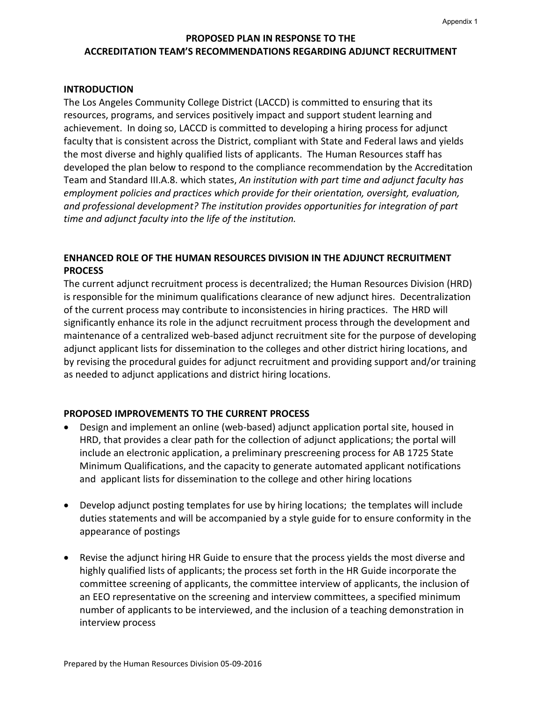# **PROPOSED PLAN IN RESPONSE TO THE ACCREDITATION TEAM'S RECOMMENDATIONS REGARDING ADJUNCT RECRUITMENT**

### **INTRODUCTION**

The Los Angeles Community College District (LACCD) is committed to ensuring that its resources, programs, and services positively impact and support student learning and achievement. In doing so, LACCD is committed to developing a hiring process for adjunct faculty that is consistent across the District, compliant with State and Federal laws and yields the most diverse and highly qualified lists of applicants. The Human Resources staff has developed the plan below to respond to the compliance recommendation by the Accreditation Team and Standard III.A.8. which states, *An institution with part time and adjunct faculty has employment policies and practices which provide for their orientation, oversight, evaluation, and professional development? The institution provides opportunities for integration of part time and adjunct faculty into the life of the institution.* 

## **ENHANCED ROLE OF THE HUMAN RESOURCES DIVISION IN THE ADJUNCT RECRUITMENT PROCESS**

The current adjunct recruitment process is decentralized; the Human Resources Division (HRD) is responsible for the minimum qualifications clearance of new adjunct hires. Decentralization of the current process may contribute to inconsistencies in hiring practices. The HRD will significantly enhance its role in the adjunct recruitment process through the development and maintenance of a centralized web-based adjunct recruitment site for the purpose of developing adjunct applicant lists for dissemination to the colleges and other district hiring locations, and by revising the procedural guides for adjunct recruitment and providing support and/or training as needed to adjunct applications and district hiring locations.

### **PROPOSED IMPROVEMENTS TO THE CURRENT PROCESS**

- Design and implement an online (web-based) adjunct application portal site, housed in HRD, that provides a clear path for the collection of adjunct applications; the portal will include an electronic application, a preliminary prescreening process for AB 1725 State Minimum Qualifications, and the capacity to generate automated applicant notifications and applicant lists for dissemination to the college and other hiring locations
- Develop adjunct posting templates for use by hiring locations; the templates will include duties statements and will be accompanied by a style guide for to ensure conformity in the appearance of postings
- Revise the adjunct hiring HR Guide to ensure that the process yields the most diverse and highly qualified lists of applicants; the process set forth in the HR Guide incorporate the committee screening of applicants, the committee interview of applicants, the inclusion of an EEO representative on the screening and interview committees, a specified minimum number of applicants to be interviewed, and the inclusion of a teaching demonstration in interview process